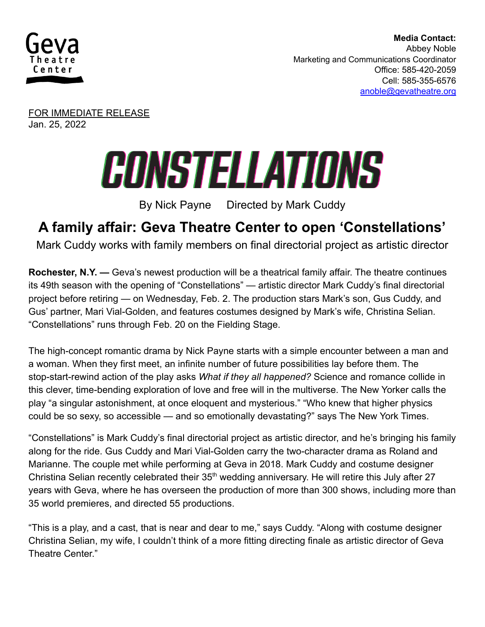

**Media Contact:** Abbey Noble Marketing and Communications Coordinator Office: 585-420-2059 Cell: 585-355-6576 [anoble@gevatheatre.org](mailto:anoble@gevatheatre.org)

FOR IMMEDIATE RELEASE Jan. 25, 2022

## CONSTELLATIONS

By Nick Payne Directed by Mark Cuddy

## **A family affair: Geva Theatre Center to open 'Constellations'**

Mark Cuddy works with family members on final directorial project as artistic director

**Rochester, N.Y. —** Geva's newest production will be a theatrical family affair. The theatre continues its 49th season with the opening of "Constellations" — artistic director Mark Cuddy's final directorial project before retiring — on Wednesday, Feb. 2. The production stars Mark's son, Gus Cuddy, and Gus' partner, Mari Vial-Golden, and features costumes designed by Mark's wife, Christina Selian. "Constellations" runs through Feb. 20 on the Fielding Stage.

The high-concept romantic drama by Nick Payne starts with a simple encounter between a man and a woman. When they first meet, an infinite number of future possibilities lay before them. The stop-start-rewind action of the play asks *What if they all happened?* Science and romance collide in this clever, time-bending exploration of love and free will in the multiverse. The New Yorker calls the play "a singular astonishment, at once eloquent and mysterious." "Who knew that higher physics could be so sexy, so accessible — and so emotionally devastating?" says The New York Times.

"Constellations" is Mark Cuddy's final directorial project as artistic director, and he's bringing his family along for the ride. Gus Cuddy and Mari Vial-Golden carry the two-character drama as Roland and Marianne. The couple met while performing at Geva in 2018. Mark Cuddy and costume designer Christina Selian recently celebrated their  $35<sup>th</sup>$  wedding anniversary. He will retire this July after 27 years with Geva, where he has overseen the production of more than 300 shows, including more than 35 world premieres, and directed 55 productions.

"This is a play, and a cast, that is near and dear to me," says Cuddy. "Along with costume designer Christina Selian, my wife, I couldn't think of a more fitting directing finale as artistic director of Geva Theatre Center."